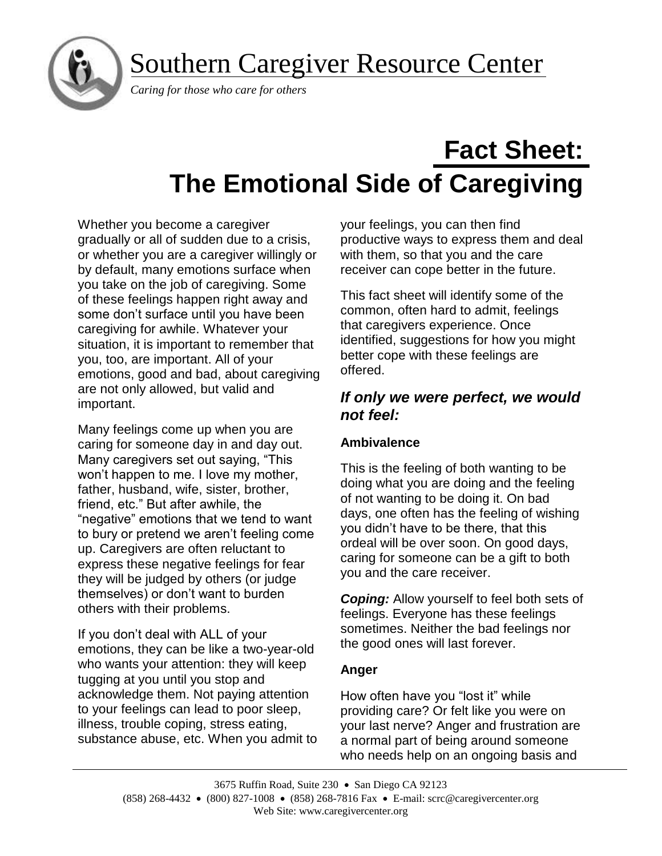Southern Caregiver Resource Center



## *Caring for those who care for others*

# **Fact Sheet: The Emotional Side of Caregiving**

Whether you become a caregiver gradually or all of sudden due to a crisis, or whether you are a caregiver willingly or by default, many emotions surface when you take on the job of caregiving. Some of these feelings happen right away and some don't surface until you have been caregiving for awhile. Whatever your situation, it is important to remember that you, too, are important. All of your emotions, good and bad, about caregiving are not only allowed, but valid and important.

Many feelings come up when you are caring for someone day in and day out. Many caregivers set out saying, "This won't happen to me. I love my mother, father, husband, wife, sister, brother, friend, etc." But after awhile, the "negative" emotions that we tend to want to bury or pretend we aren't feeling come up. Caregivers are often reluctant to express these negative feelings for fear they will be judged by others (or judge themselves) or don't want to burden others with their problems.

If you don't deal with ALL of your emotions, they can be like a two-year-old who wants your attention: they will keep tugging at you until you stop and acknowledge them. Not paying attention to your feelings can lead to poor sleep, illness, trouble coping, stress eating, substance abuse, etc. When you admit to your feelings, you can then find productive ways to express them and deal with them, so that you and the care receiver can cope better in the future.

This fact sheet will identify some of the common, often hard to admit, feelings that caregivers experience. Once identified, suggestions for how you might better cope with these feelings are offered.

# *If only we were perfect, we would not feel:*

## **Ambivalence**

This is the feeling of both wanting to be doing what you are doing and the feeling of not wanting to be doing it. On bad days, one often has the feeling of wishing you didn't have to be there, that this ordeal will be over soon. On good days, caring for someone can be a gift to both you and the care receiver.

*Coping:* Allow yourself to feel both sets of feelings. Everyone has these feelings sometimes. Neither the bad feelings nor the good ones will last forever.

## **Anger**

How often have you "lost it" while providing care? Or felt like you were on your last nerve? Anger and frustration are a normal part of being around someone who needs help on an ongoing basis and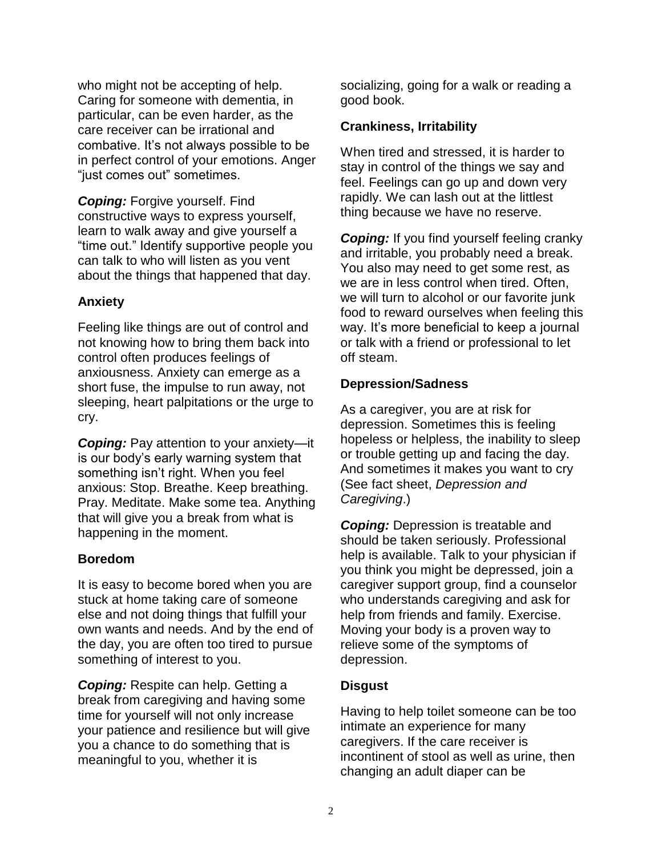who might not be accepting of help. Caring for someone with dementia, in particular, can be even harder, as the care receiver can be irrational and combative. It's not always possible to be in perfect control of your emotions. Anger "just comes out" sometimes.

*Coping:* Forgive yourself. Find constructive ways to express yourself, learn to walk away and give yourself a "time out." Identify supportive people you can talk to who will listen as you vent about the things that happened that day.

## **Anxiety**

Feeling like things are out of control and not knowing how to bring them back into control often produces feelings of anxiousness. Anxiety can emerge as a short fuse, the impulse to run away, not sleeping, heart palpitations or the urge to cry.

**Coping:** Pay attention to your anxiety—it is our body's early warning system that something isn't right. When you feel anxious: Stop. Breathe. Keep breathing. Pray. Meditate. Make some tea. Anything that will give you a break from what is happening in the moment.

## **Boredom**

It is easy to become bored when you are stuck at home taking care of someone else and not doing things that fulfill your own wants and needs. And by the end of the day, you are often too tired to pursue something of interest to you.

*Coping:* Respite can help. Getting a break from caregiving and having some time for yourself will not only increase your patience and resilience but will give you a chance to do something that is meaningful to you, whether it is

socializing, going for a walk or reading a good book.

#### **Crankiness, Irritability**

When tired and stressed, it is harder to stay in control of the things we say and feel. Feelings can go up and down very rapidly. We can lash out at the littlest thing because we have no reserve.

**Coping:** If you find yourself feeling cranky and irritable, you probably need a break. You also may need to get some rest, as we are in less control when tired. Often, we will turn to alcohol or our favorite junk food to reward ourselves when feeling this way. It's more beneficial to keep a journal or talk with a friend or professional to let off steam.

## **Depression/Sadness**

As a caregiver, you are at risk for depression. Sometimes this is feeling hopeless or helpless, the inability to sleep or trouble getting up and facing the day. And sometimes it makes you want to cry (See fact sheet, *Depression and Caregiving*.)

*Coping:* Depression is treatable and should be taken seriously. Professional help is available. Talk to your physician if you think you might be depressed, join a caregiver support group, find a counselor who understands caregiving and ask for help from friends and family. Exercise. Moving your body is a proven way to relieve some of the symptoms of depression.

## **Disgust**

Having to help toilet someone can be too intimate an experience for many caregivers. If the care receiver is incontinent of stool as well as urine, then changing an adult diaper can be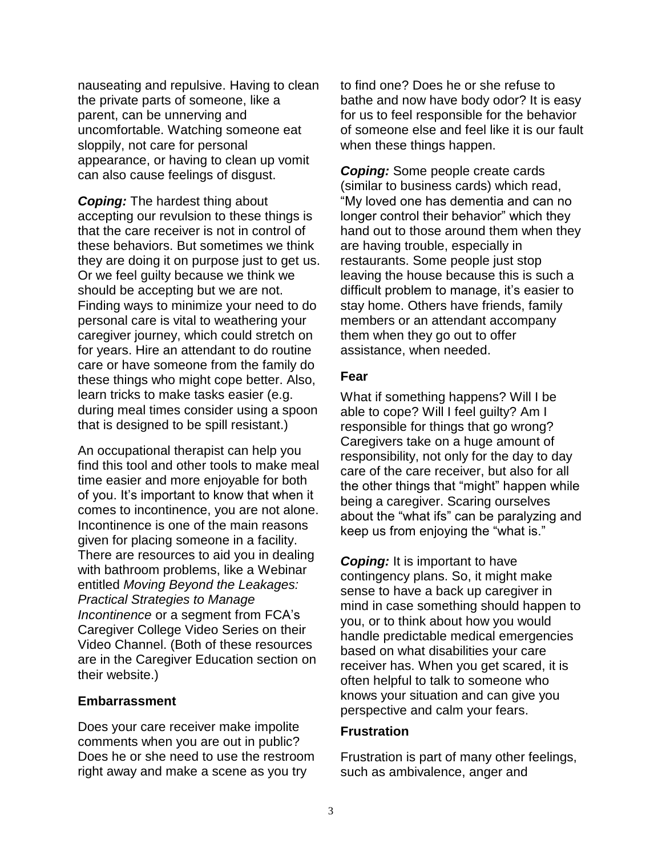nauseating and repulsive. Having to clean the private parts of someone, like a parent, can be unnerving and uncomfortable. Watching someone eat sloppily, not care for personal appearance, or having to clean up vomit can also cause feelings of disgust.

*Coping:* The hardest thing about accepting our revulsion to these things is that the care receiver is not in control of these behaviors. But sometimes we think they are doing it on purpose just to get us. Or we feel guilty because we think we should be accepting but we are not. Finding ways to minimize your need to do personal care is vital to weathering your caregiver journey, which could stretch on for years. Hire an attendant to do routine care or have someone from the family do these things who might cope better. Also, learn tricks to make tasks easier (e.g. during meal times consider using a spoon that is designed to be spill resistant.)

An occupational therapist can help you find this tool and other tools to make meal time easier and more enjoyable for both of you. It's important to know that when it comes to incontinence, you are not alone. Incontinence is one of the main reasons given for placing someone in a facility. There are resources to aid you in dealing with bathroom problems, like a Webinar entitled *Moving Beyond the Leakages: Practical Strategies to Manage Incontinence* or a segment from FCA's Caregiver College Video Series on their Video Channel. (Both of these resources are in the Caregiver Education section on their website.)

#### **Embarrassment**

Does your care receiver make impolite comments when you are out in public? Does he or she need to use the restroom right away and make a scene as you try

to find one? Does he or she refuse to bathe and now have body odor? It is easy for us to feel responsible for the behavior of someone else and feel like it is our fault when these things happen.

*Coping:* Some people create cards (similar to business cards) which read, "My loved one has dementia and can no longer control their behavior" which they hand out to those around them when they are having trouble, especially in restaurants. Some people just stop leaving the house because this is such a difficult problem to manage, it's easier to stay home. Others have friends, family members or an attendant accompany them when they go out to offer assistance, when needed.

#### **Fear**

What if something happens? Will I be able to cope? Will I feel guilty? Am I responsible for things that go wrong? Caregivers take on a huge amount of responsibility, not only for the day to day care of the care receiver, but also for all the other things that "might" happen while being a caregiver. Scaring ourselves about the "what ifs" can be paralyzing and keep us from enjoying the "what is."

*Coping:* It is important to have contingency plans. So, it might make sense to have a back up caregiver in mind in case something should happen to you, or to think about how you would handle predictable medical emergencies based on what disabilities your care receiver has. When you get scared, it is often helpful to talk to someone who knows your situation and can give you perspective and calm your fears.

#### **Frustration**

Frustration is part of many other feelings, such as ambivalence, anger and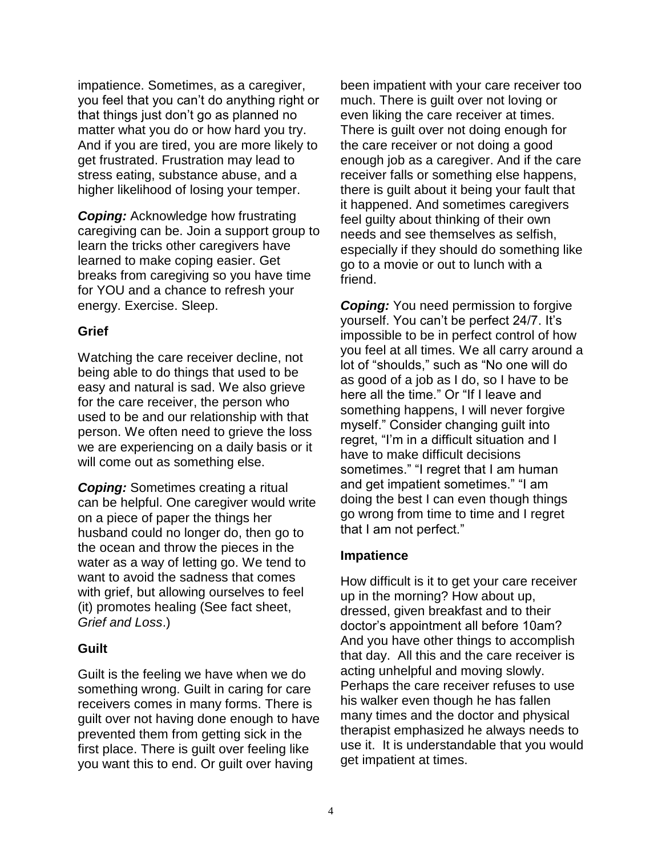impatience. Sometimes, as a caregiver, you feel that you can't do anything right or that things just don't go as planned no matter what you do or how hard you try. And if you are tired, you are more likely to get frustrated. Frustration may lead to stress eating, substance abuse, and a higher likelihood of losing your temper.

*Coping:* Acknowledge how frustrating caregiving can be. Join a support group to learn the tricks other caregivers have learned to make coping easier. Get breaks from caregiving so you have time for YOU and a chance to refresh your energy. Exercise. Sleep.

#### **Grief**

Watching the care receiver decline, not being able to do things that used to be easy and natural is sad. We also grieve for the care receiver, the person who used to be and our relationship with that person. We often need to grieve the loss we are experiencing on a daily basis or it will come out as something else.

*Coping:* Sometimes creating a ritual can be helpful. One caregiver would write on a piece of paper the things her husband could no longer do, then go to the ocean and throw the pieces in the water as a way of letting go. We tend to want to avoid the sadness that comes with grief, but allowing ourselves to feel (it) promotes healing (See fact sheet, *Grief and Loss*.)

#### **Guilt**

Guilt is the feeling we have when we do something wrong. Guilt in caring for care receivers comes in many forms. There is guilt over not having done enough to have prevented them from getting sick in the first place. There is guilt over feeling like you want this to end. Or guilt over having

been impatient with your care receiver too much. There is guilt over not loving or even liking the care receiver at times. There is guilt over not doing enough for the care receiver or not doing a good enough job as a caregiver. And if the care receiver falls or something else happens, there is guilt about it being your fault that it happened. And sometimes caregivers feel guilty about thinking of their own needs and see themselves as selfish, especially if they should do something like go to a movie or out to lunch with a friend.

**Coping:** You need permission to forgive yourself. You can't be perfect 24/7. It's impossible to be in perfect control of how you feel at all times. We all carry around a lot of "shoulds," such as "No one will do as good of a job as I do, so I have to be here all the time." Or "If I leave and something happens, I will never forgive myself." Consider changing guilt into regret, "I'm in a difficult situation and I have to make difficult decisions sometimes." "I regret that I am human and get impatient sometimes." "I am doing the best I can even though things go wrong from time to time and I regret that I am not perfect."

#### **Impatience**

How difficult is it to get your care receiver up in the morning? How about up, dressed, given breakfast and to their doctor's appointment all before 10am? And you have other things to accomplish that day. All this and the care receiver is acting unhelpful and moving slowly. Perhaps the care receiver refuses to use his walker even though he has fallen many times and the doctor and physical therapist emphasized he always needs to use it. It is understandable that you would get impatient at times.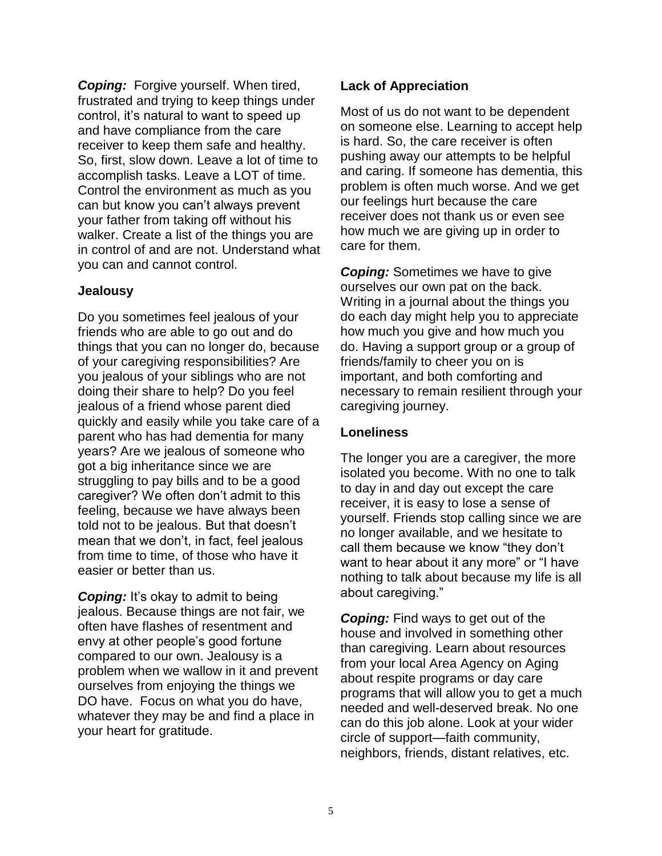*Coping:* Forgive yourself. When tired, frustrated and trying to keep things under control, it's natural to want to speed up and have compliance from the care receiver to keep them safe and healthy. So, first, slow down. Leave a lot of time to accomplish tasks. Leave a LOT of time. Control the environment as much as you can but know you can't always prevent your father from taking off without his walker. Create a list of the things you are in control of and are not. Understand what you can and cannot control.

#### **Jealousy**

Do you sometimes feel jealous of your friends who are able to go out and do things that you can no longer do, because of your caregiving responsibilities? Are you jealous of your siblings who are not doing their share to help? Do you feel jealous of a friend whose parent died quickly and easily while you take care of a parent who has had dementia for many years? Are we jealous of someone who got a big inheritance since we are struggling to pay bills and to be a good caregiver? We often don't admit to this feeling, because we have always been told not to be jealous. But that doesn't mean that we don't, in fact, feel jealous from time to time, of those who have it easier or better than us.

**Coping:** It's okay to admit to being jealous. Because things are not fair, we often have flashes of resentment and envy at other people's good fortune compared to our own. Jealousy is a problem when we wallow in it and prevent ourselves from enjoying the things we DO have. Focus on what you do have, whatever they may be and find a place in your heart for gratitude.

#### **Lack of Appreciation**

Most of us do not want to be dependent on someone else. Learning to accept help is hard. So, the care receiver is often pushing away our attempts to be helpful and caring. If someone has dementia, this problem is often much worse. And we get our feelings hurt because the care receiver does not thank us or even see how much we are giving up in order to care for them.

*Coping:* Sometimes we have to give ourselves our own pat on the back. Writing in a journal about the things you do each day might help you to appreciate how much you give and how much you do. Having a support group or a group of friends/family to cheer you on is important, and both comforting and necessary to remain resilient through your caregiving journey.

#### **Loneliness**

The longer you are a caregiver, the more isolated you become. With no one to talk to day in and day out except the care receiver, it is easy to lose a sense of yourself. Friends stop calling since we are no longer available, and we hesitate to call them because we know "they don't want to hear about it any more" or "I have nothing to talk about because my life is all about caregiving."

**Coping:** Find ways to get out of the house and involved in something other than caregiving. Learn about resources from your local Area Agency on Aging about respite programs or day care programs that will allow you to get a much needed and well-deserved break. No one can do this job alone. Look at your wider circle of support—faith community, neighbors, friends, distant relatives, etc.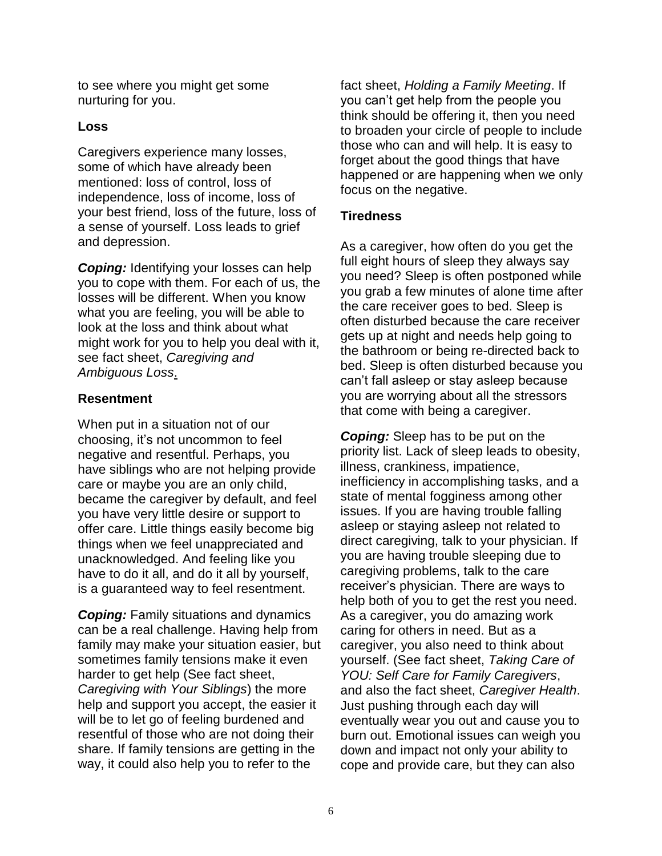to see where you might get some nurturing for you.

#### **Loss**

Caregivers experience many losses, some of which have already been mentioned: loss of control, loss of independence, loss of income, loss of your best friend, loss of the future, loss of a sense of yourself. Loss leads to grief and depression.

**Coping:** Identifying your losses can help you to cope with them. For each of us, the losses will be different. When you know what you are feeling, you will be able to look at the loss and think about what might work for you to help you deal with it, see fact sheet, *Caregiving and Ambiguous Loss*.

#### **Resentment**

When put in a situation not of our choosing, it's not uncommon to feel negative and resentful. Perhaps, you have siblings who are not helping provide care or maybe you are an only child, became the caregiver by default, and feel you have very little desire or support to offer care. Little things easily become big things when we feel unappreciated and unacknowledged. And feeling like you have to do it all, and do it all by yourself, is a guaranteed way to feel resentment.

*Coping:* Family situations and dynamics can be a real challenge. Having help from family may make your situation easier, but sometimes family tensions make it even harder to get help (See fact sheet, *Caregiving with Your Siblings*) the more help and support you accept, the easier it will be to let go of feeling burdened and resentful of those who are not doing their share. If family tensions are getting in the way, it could also help you to refer to the

fact sheet, *Holding a Family Meeting*. If you can't get help from the people you think should be offering it, then you need to broaden your circle of people to include those who can and will help. It is easy to forget about the good things that have happened or are happening when we only focus on the negative.

#### **Tiredness**

As a caregiver, how often do you get the full eight hours of sleep they always say you need? Sleep is often postponed while you grab a few minutes of alone time after the care receiver goes to bed. Sleep is often disturbed because the care receiver gets up at night and needs help going to the bathroom or being re-directed back to bed. Sleep is often disturbed because you can't fall asleep or stay asleep because you are worrying about all the stressors that come with being a caregiver.

*Coping:* Sleep has to be put on the priority list. Lack of sleep leads to obesity, illness, crankiness, impatience, inefficiency in accomplishing tasks, and a state of mental fogginess among other issues. If you are having trouble falling asleep or staying asleep not related to direct caregiving, talk to your physician. If you are having trouble sleeping due to caregiving problems, talk to the care receiver's physician. There are ways to help both of you to get the rest you need. As a caregiver, you do amazing work caring for others in need. But as a caregiver, you also need to think about yourself. (See fact sheet, *Taking Care of YOU: Self Care for Family Caregivers*, and also the fact sheet, *Caregiver Health*. Just pushing through each day will eventually wear you out and cause you to burn out. Emotional issues can weigh you down and impact not only your ability to cope and provide care, but they can also